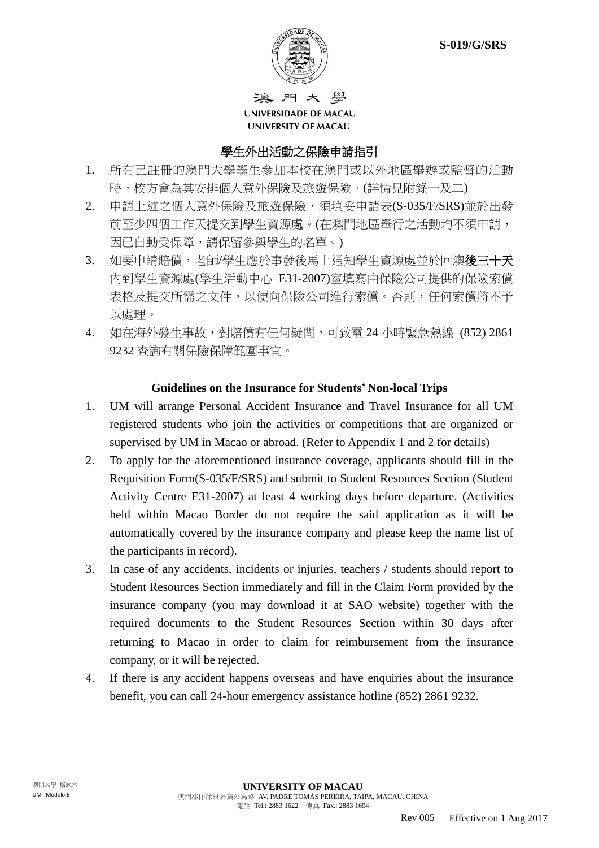

遍門大學 UNIVERSIDADE DE MACAU **UNIVERSITY OF MACAU** 

#### 學生外出活動之保險申請指引

- 1. 所有已註冊的澳門大學學生參加本校在澳門或以外地區舉辦或監督的活動 時,校方會為其安排個人意外保險及旅遊保險。(詳情見附錄一及二)
- 2. 申請上述之個人意外保險及旅遊保險,須填妥申請表(S-035/F/SRS)並於出發 前至少四個工作天提交到學生資源處。(在澳門地區舉行之活動均不須申請, 因已自動受保障,請保留參與學生的名單。)
- 3. 如要申請賠償,老師/學生應於事發後馬上通知學生資源處並於回澳後三十天 內到學生資源處(學生活動中心 E31-2007)室填寫由保險公司提供的保險索償 表格及提交所需之文件,以便向保險公司進行索償。否則,任何索償將不予 以處理。
- 4. 如在海外發生事故,對賠償有任何疑問,可致電 24 小時緊急熱線 (852) 2861 9232 查詢有關保險保障範圍事宜。

#### **Guidelines on the Insurance for Students' Non-local Trips**

- 1. UM will arrange Personal Accident Insurance and Travel Insurance for all UM registered students who join the activities or competitions that are organized or supervised by UM in Macao or abroad. (Refer to Appendix 1 and 2 for details)
- 2. To apply for the aforementioned insurance coverage, applicants should fill in the Requisition Form(S-035/F/SRS) and submit to Student Resources Section (Student Activity Centre E31-2007) at least 4 working days before departure. (Activities held within Macao Border do not require the said application as it will be automatically covered by the insurance company and please keep the name list of the participants in record).
- 3. In case of any accidents, incidents or injuries, teachers / students should report to Student Resources Section immediately and fill in the Claim Form provided by the insurance company (you may download it at SAO website) together with the required documents to the Student Resources Section within 30 days after returning to Macao in order to claim for reimbursement from the insurance company, or it will be rejected.
- 4. If there is any accident happens overseas and have enquiries about the insurance benefit, you can call 24-hour emergency assistance hotline (852) 2861 9232.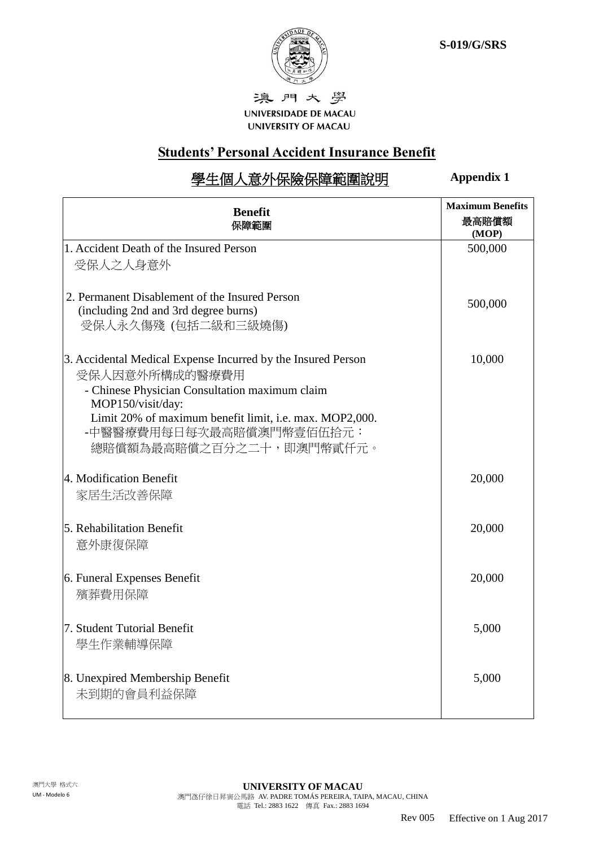

澳門大學 UNIVERSIDADE DE MACAU UNIVERSITY OF MACAU

## **Students' Personal Accident Insurance Benefit**

# 學生個人意外保險保障範圍說明

**Appendix 1**

| <b>Benefit</b><br>保障範圍                                                                                                                                                                                                                                                   | <b>Maximum Benefits</b><br>最高賠償額<br>(MOP) |
|--------------------------------------------------------------------------------------------------------------------------------------------------------------------------------------------------------------------------------------------------------------------------|-------------------------------------------|
| 1. Accident Death of the Insured Person<br>受保人之人身意外                                                                                                                                                                                                                      | 500,000                                   |
| 2. Permanent Disablement of the Insured Person<br>(including 2nd and 3rd degree burns)<br>受保人永久傷殘 (包括二級和三級燒傷)                                                                                                                                                            | 500,000                                   |
| 3. Accidental Medical Expense Incurred by the Insured Person<br>受保人因意外所構成的醫療費用<br>- Chinese Physician Consultation maximum claim<br>MOP150/visit/day:<br>Limit 20% of maximum benefit limit, i.e. max. MOP2,000.<br>-中醫醫療費用每日每次最高賠償澳門幣壹佰伍拾元:<br>總賠償額為最高賠償之百分之二十,即澳門幣貳仟元。 | 10,000                                    |
| 4. Modification Benefit<br>家居生活改善保障                                                                                                                                                                                                                                      | 20,000                                    |
| 5. Rehabilitation Benefit<br>意外康復保障                                                                                                                                                                                                                                      | 20,000                                    |
| 6. Funeral Expenses Benefit<br>殯葬費用保障                                                                                                                                                                                                                                    | 20,000                                    |
| 7. Student Tutorial Benefit<br>學生作業輔導保障                                                                                                                                                                                                                                  | 5,000                                     |
| 8. Unexpired Membership Benefit<br>未到期的會員利益保障                                                                                                                                                                                                                            | 5,000                                     |